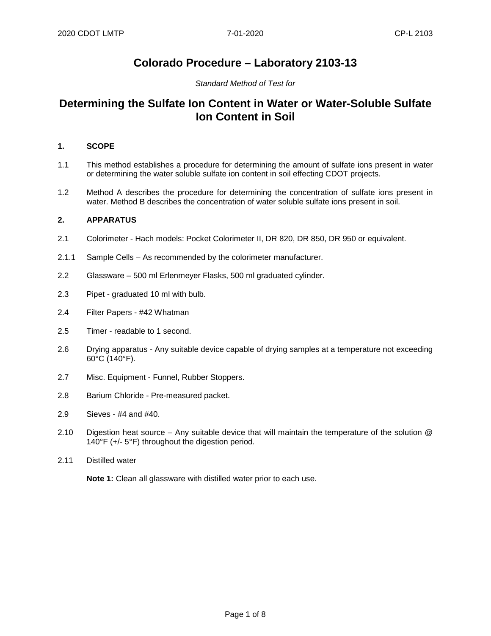## **Colorado Procedure – Laboratory 2103-13**

#### *Standard Method of Test for*

## **Determining the Sulfate Ion Content in Water or Water-Soluble Sulfate Ion Content in Soil**

#### **1. SCOPE**

- 1.1 This method establishes a procedure for determining the amount of sulfate ions present in water or determining the water soluble sulfate ion content in soil effecting CDOT projects.
- 1.2 Method A describes the procedure for determining the concentration of sulfate ions present in water. Method B describes the concentration of water soluble sulfate ions present in soil.

#### **2. APPARATUS**

- 2.1 Colorimeter Hach models: Pocket Colorimeter II, DR 820, DR 850, DR 950 or equivalent.
- 2.1.1 Sample Cells As recommended by the colorimeter manufacturer.
- 2.2 Glassware 500 ml Erlenmeyer Flasks, 500 ml graduated cylinder.
- 2.3 Pipet graduated 10 ml with bulb.
- 2.4 Filter Papers #42 Whatman
- 2.5 Timer readable to 1 second.
- 2.6 Drying apparatus Any suitable device capable of drying samples at a temperature not exceeding 60°C (140°F).
- 2.7 Misc. Equipment Funnel, Rubber Stoppers.
- 2.8 Barium Chloride Pre-measured packet.
- 2.9 Sieves #4 and #40.
- 2.10 Digestion heat source Any suitable device that will maintain the temperature of the solution @ 140°F (+/- 5°F) throughout the digestion period.
- 2.11 Distilled water

**Note 1:** Clean all glassware with distilled water prior to each use.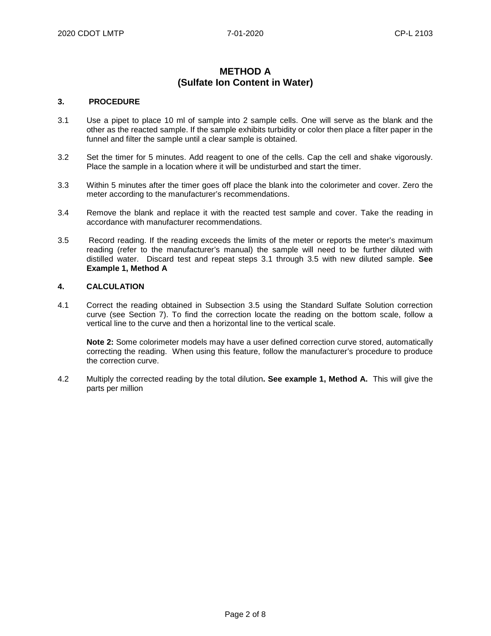## **METHOD A (Sulfate Ion Content in Water)**

#### **3. PROCEDURE**

- 3.1 Use a pipet to place 10 ml of sample into 2 sample cells. One will serve as the blank and the other as the reacted sample. If the sample exhibits turbidity or color then place a filter paper in the funnel and filter the sample until a clear sample is obtained.
- 3.2 Set the timer for 5 minutes. Add reagent to one of the cells. Cap the cell and shake vigorously. Place the sample in a location where it will be undisturbed and start the timer.
- 3.3 Within 5 minutes after the timer goes off place the blank into the colorimeter and cover. Zero the meter according to the manufacturer's recommendations.
- 3.4 Remove the blank and replace it with the reacted test sample and cover. Take the reading in accordance with manufacturer recommendations.
- 3.5 Record reading. If the reading exceeds the limits of the meter or reports the meter's maximum reading (refer to the manufacturer's manual) the sample will need to be further diluted with distilled water. Discard test and repeat steps 3.1 through 3.5 with new diluted sample. **See Example 1, Method A**

#### **4. CALCULATION**

4.1 Correct the reading obtained in Subsection 3.5 using the Standard Sulfate Solution correction curve (see Section 7). To find the correction locate the reading on the bottom scale, follow a vertical line to the curve and then a horizontal line to the vertical scale.

**Note 2:** Some colorimeter models may have a user defined correction curve stored, automatically correcting the reading. When using this feature, follow the manufacturer's procedure to produce the correction curve.

4.2 Multiply the corrected reading by the total dilution**. See example 1, Method A.** This will give the parts per million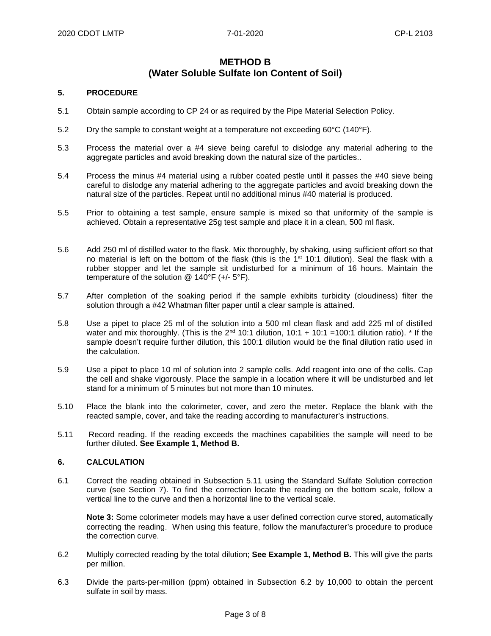### **METHOD B (Water Soluble Sulfate Ion Content of Soil)**

#### **5. PROCEDURE**

- 5.1 Obtain sample according to CP 24 or as required by the Pipe Material Selection Policy.
- 5.2 Dry the sample to constant weight at a temperature not exceeding 60°C (140°F).
- 5.3 Process the material over a #4 sieve being careful to dislodge any material adhering to the aggregate particles and avoid breaking down the natural size of the particles..
- 5.4 Process the minus #4 material using a rubber coated pestle until it passes the #40 sieve being careful to dislodge any material adhering to the aggregate particles and avoid breaking down the natural size of the particles. Repeat until no additional minus #40 material is produced.
- 5.5 Prior to obtaining a test sample, ensure sample is mixed so that uniformity of the sample is achieved. Obtain a representative 25g test sample and place it in a clean, 500 ml flask.
- 5.6 Add 250 ml of distilled water to the flask. Mix thoroughly, by shaking, using sufficient effort so that no material is left on the bottom of the flask (this is the  $1<sup>st</sup> 10:1$  dilution). Seal the flask with a rubber stopper and let the sample sit undisturbed for a minimum of 16 hours. Maintain the temperature of the solution @ 140°F (+/- 5°F).
- 5.7 After completion of the soaking period if the sample exhibits turbidity (cloudiness) filter the solution through a #42 Whatman filter paper until a clear sample is attained.
- 5.8 Use a pipet to place 25 ml of the solution into a 500 ml clean flask and add 225 ml of distilled water and mix thoroughly. (This is the  $2<sup>nd</sup> 10:1$  dilution, 10:1 + 10:1 = 100:1 dilution ratio). \* If the sample doesn't require further dilution, this 100:1 dilution would be the final dilution ratio used in the calculation.
- 5.9 Use a pipet to place 10 ml of solution into 2 sample cells. Add reagent into one of the cells. Cap the cell and shake vigorously. Place the sample in a location where it will be undisturbed and let stand for a minimum of 5 minutes but not more than 10 minutes.
- 5.10 Place the blank into the colorimeter, cover, and zero the meter. Replace the blank with the reacted sample, cover, and take the reading according to manufacturer's instructions.
- 5.11 Record reading. If the reading exceeds the machines capabilities the sample will need to be further diluted. **See Example 1, Method B.**

#### **6. CALCULATION**

6.1 Correct the reading obtained in Subsection 5.11 using the Standard Sulfate Solution correction curve (see Section 7). To find the correction locate the reading on the bottom scale, follow a vertical line to the curve and then a horizontal line to the vertical scale.

**Note 3:** Some colorimeter models may have a user defined correction curve stored, automatically correcting the reading. When using this feature, follow the manufacturer's procedure to produce the correction curve.

- 6.2 Multiply corrected reading by the total dilution; **See Example 1, Method B.** This will give the parts per million.
- 6.3 Divide the parts-per-million (ppm) obtained in Subsection 6.2 by 10,000 to obtain the percent sulfate in soil by mass.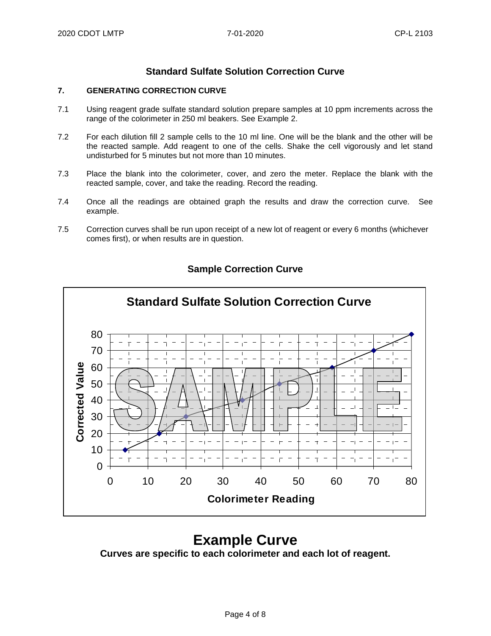## **Standard Sulfate Solution Correction Curve**

#### **7. GENERATING CORRECTION CURVE**

- 7.1 Using reagent grade sulfate standard solution prepare samples at 10 ppm increments across the range of the colorimeter in 250 ml beakers. See Example 2.
- 7.2 For each dilution fill 2 sample cells to the 10 ml line. One will be the blank and the other will be the reacted sample. Add reagent to one of the cells. Shake the cell vigorously and let stand undisturbed for 5 minutes but not more than 10 minutes.
- 7.3 Place the blank into the colorimeter, cover, and zero the meter. Replace the blank with the reacted sample, cover, and take the reading. Record the reading.
- 7.4 Once all the readings are obtained graph the results and draw the correction curve. See example.
- 7.5 Correction curves shall be run upon receipt of a new lot of reagent or every 6 months (whichever comes first), or when results are in question.



## **Sample Correction Curve**

## **Example Curve**

**Curves are specific to each colorimeter and each lot of reagent.**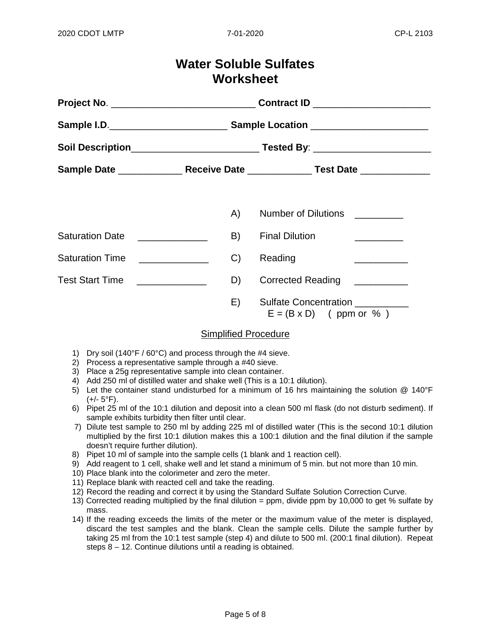# **Water Soluble Sulfates Worksheet**

|                             | A)                                               | Number of Dilutions <b>Number</b> of Dilutions                |
|-----------------------------|--------------------------------------------------|---------------------------------------------------------------|
| <b>Saturation Date</b>      | B)<br><u> 1980 - Johann Barbara, martin basa</u> | <b>Final Dilution</b>                                         |
| <b>Saturation Time</b>      | C                                                | Reading<br><u> Alexandria de la conte</u>                     |
| Test Start Time<br><u> </u> | D)                                               | Corrected Reading __________                                  |
|                             | E)                                               | <b>Sulfate Concentration</b><br>$E = (B \times D)$ (ppm or %) |

### Simplified Procedure

- 1) Dry soil (140°F / 60°C) and process through the #4 sieve.
- 2) Process a representative sample through a #40 sieve.
- 3) Place a 25g representative sample into clean container.
- 4) Add 250 ml of distilled water and shake well (This is a 10:1 dilution).
- 5) Let the container stand undisturbed for a minimum of 16 hrs maintaining the solution @ 140°F  $(+/- 5$ °F).
- 6) Pipet 25 ml of the 10:1 dilution and deposit into a clean 500 ml flask (do not disturb sediment). If sample exhibits turbidity then filter until clear.
- 7) Dilute test sample to 250 ml by adding 225 ml of distilled water (This is the second 10:1 dilution multiplied by the first 10:1 dilution makes this a 100:1 dilution and the final dilution if the sample doesn't require further dilution).
- 8) Pipet 10 ml of sample into the sample cells (1 blank and 1 reaction cell).
- 9) Add reagent to 1 cell, shake well and let stand a minimum of 5 min. but not more than 10 min.
- 10) Place blank into the colorimeter and zero the meter.
- 11) Replace blank with reacted cell and take the reading.
- 12) Record the reading and correct it by using the Standard Sulfate Solution Correction Curve.
- 13) Corrected reading multiplied by the final dilution = ppm, divide ppm by 10,000 to get % sulfate by mass.
- 14) If the reading exceeds the limits of the meter or the maximum value of the meter is displayed, discard the test samples and the blank. Clean the sample cells. Dilute the sample further by taking 25 ml from the 10:1 test sample (step 4) and dilute to 500 ml. (200:1 final dilution). Repeat steps 8 – 12. Continue dilutions until a reading is obtained.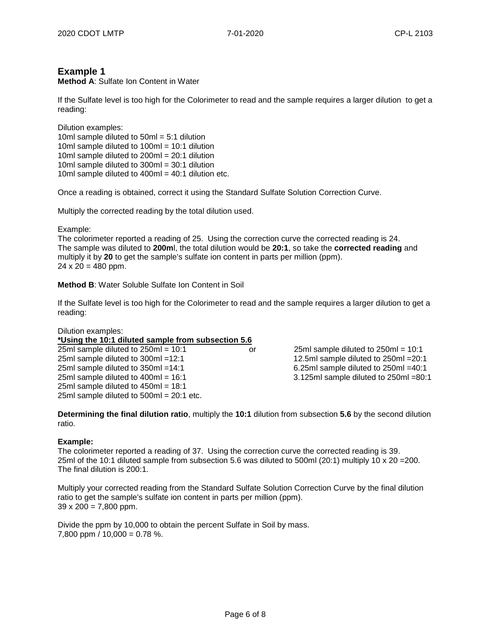### **Example 1**

**Method A**: Sulfate Ion Content in Water

If the Sulfate level is too high for the Colorimeter to read and the sample requires a larger dilution to get a reading:

Dilution examples: 10ml sample diluted to 50ml = 5:1 dilution 10ml sample diluted to 100ml = 10:1 dilution 10ml sample diluted to 200ml = 20:1 dilution 10ml sample diluted to 300ml = 30:1 dilution 10ml sample diluted to  $400m = 40:1$  dilution etc.

Once a reading is obtained, correct it using the Standard Sulfate Solution Correction Curve.

Multiply the corrected reading by the total dilution used.

Example:

The colorimeter reported a reading of 25. Using the correction curve the corrected reading is 24. The sample was diluted to **200m**l, the total dilution would be **20:1**, so take the **corrected reading** and multiply it by **20** to get the sample's sulfate ion content in parts per million (ppm).  $24 \times 20 = 480$  ppm.

**Method B**: Water Soluble Sulfate Ion Content in Soil

If the Sulfate level is too high for the Colorimeter to read and the sample requires a larger dilution to get a reading:

#### Dilution examples:

**\*Using the 10:1 diluted sample from subsection 5.6**

25ml sample diluted to 250ml = 10:1 or 25ml sample diluted to 250ml = 10:1 25ml sample diluted to 300ml =12:1 12.5ml sample diluted to 250ml =20:1 25ml sample diluted to 350ml =14:1 6.25ml sample diluted to 250ml =40:1 25ml sample diluted to 400ml = 16:1 3.125ml sample diluted to 250ml =80:1 25ml sample diluted to 450ml = 18:1 25ml sample diluted to 500ml = 20:1 etc.

**Determining the final dilution ratio**, multiply the **10:1** dilution from subsection **5.6** by the second dilution ratio.

#### **Example:**

The colorimeter reported a reading of 37. Using the correction curve the corrected reading is 39. 25ml of the 10:1 diluted sample from subsection 5.6 was diluted to 500ml (20:1) multiply 10 x 20 =200. The final dilution is 200:1.

Multiply your corrected reading from the Standard Sulfate Solution Correction Curve by the final dilution ratio to get the sample's sulfate ion content in parts per million (ppm).  $39 \times 200 = 7,800$  ppm.

Divide the ppm by 10,000 to obtain the percent Sulfate in Soil by mass. 7,800 ppm /  $10,000 = 0.78$  %.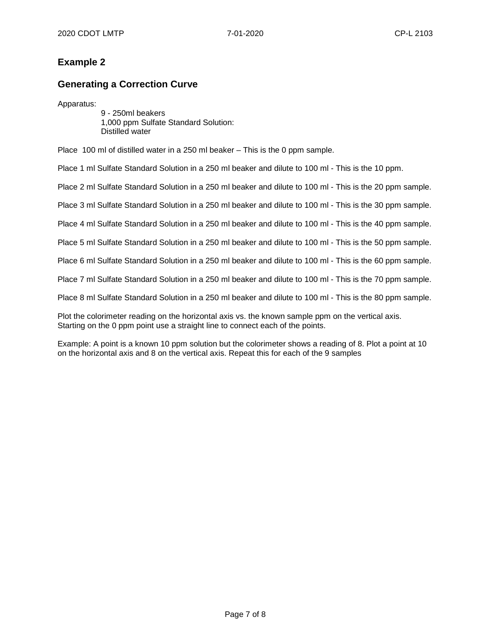## **Example 2**

## **Generating a Correction Curve**

Apparatus:

9 - 250ml beakers 1,000 ppm Sulfate Standard Solution: Distilled water

Place 100 ml of distilled water in a 250 ml beaker – This is the 0 ppm sample.

Place 1 ml Sulfate Standard Solution in a 250 ml beaker and dilute to 100 ml - This is the 10 ppm.

Place 2 ml Sulfate Standard Solution in a 250 ml beaker and dilute to 100 ml - This is the 20 ppm sample.

Place 3 ml Sulfate Standard Solution in a 250 ml beaker and dilute to 100 ml - This is the 30 ppm sample.

Place 4 ml Sulfate Standard Solution in a 250 ml beaker and dilute to 100 ml - This is the 40 ppm sample.

Place 5 ml Sulfate Standard Solution in a 250 ml beaker and dilute to 100 ml - This is the 50 ppm sample.

Place 6 ml Sulfate Standard Solution in a 250 ml beaker and dilute to 100 ml - This is the 60 ppm sample.

Place 7 ml Sulfate Standard Solution in a 250 ml beaker and dilute to 100 ml - This is the 70 ppm sample.

Place 8 ml Sulfate Standard Solution in a 250 ml beaker and dilute to 100 ml - This is the 80 ppm sample.

Plot the colorimeter reading on the horizontal axis vs. the known sample ppm on the vertical axis. Starting on the 0 ppm point use a straight line to connect each of the points.

Example: A point is a known 10 ppm solution but the colorimeter shows a reading of 8. Plot a point at 10 on the horizontal axis and 8 on the vertical axis. Repeat this for each of the 9 samples